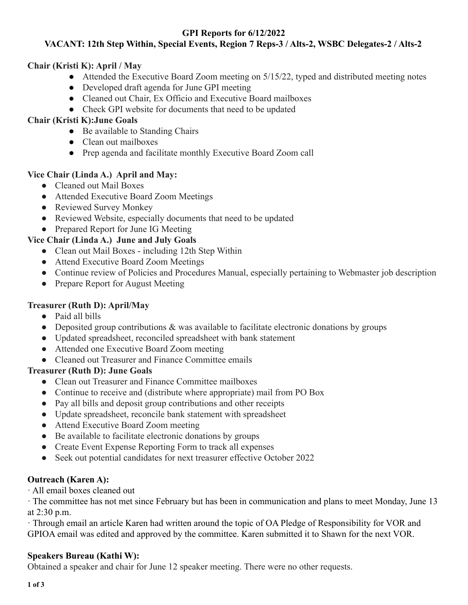### **GPI Reports for 6/12/2022**

## **VACANT: 12th Step Within, Special Events, Region 7 Reps-3 / Alts-2, WSBC Delegates-2 / Alts-2**

#### **Chair (Kristi K): April / May**

- Attended the Executive Board Zoom meeting on 5/15/22, typed and distributed meeting notes
- Developed draft agenda for June GPI meeting
- Cleaned out Chair, Ex Officio and Executive Board mailboxes
- Check GPI website for documents that need to be updated

### **Chair (Kristi K):June Goals**

- Be available to Standing Chairs
- Clean out mailboxes
- Prep agenda and facilitate monthly Executive Board Zoom call

#### **Vice Chair (Linda A.) April and May:**

- Cleaned out Mail Boxes
- Attended Executive Board Zoom Meetings
- Reviewed Survey Monkey
- Reviewed Website, especially documents that need to be updated
- Prepared Report for June IG Meeting

## **Vice Chair (Linda A.) June and July Goals**

- Clean out Mail Boxes including 12th Step Within
- Attend Executive Board Zoom Meetings
- Continue review of Policies and Procedures Manual, especially pertaining to Webmaster job description
- Prepare Report for August Meeting

### **Treasurer (Ruth D): April/May**

- Paid all bills
- Deposited group contributions & was available to facilitate electronic donations by groups
- Updated spreadsheet, reconciled spreadsheet with bank statement
- Attended one Executive Board Zoom meeting
- Cleaned out Treasurer and Finance Committee emails

### **Treasurer (Ruth D): June Goals**

- Clean out Treasurer and Finance Committee mailboxes
- Continue to receive and (distribute where appropriate) mail from PO Box
- Pay all bills and deposit group contributions and other receipts
- Update spreadsheet, reconcile bank statement with spreadsheet
- Attend Executive Board Zoom meeting
- Be available to facilitate electronic donations by groups
- Create Event Expense Reporting Form to track all expenses
- Seek out potential candidates for next treasurer effective October 2022

### **Outreach (Karen A):**

· All email boxes cleaned out

· The committee has not met since February but has been in communication and plans to meet Monday, June 13 at 2:30 p.m.

· Through email an article Karen had written around the topic of OA Pledge of Responsibility for VOR and GPIOA email was edited and approved by the committee. Karen submitted it to Shawn for the next VOR.

### **Speakers Bureau (Kathi W):**

Obtained a speaker and chair for June 12 speaker meeting. There were no other requests.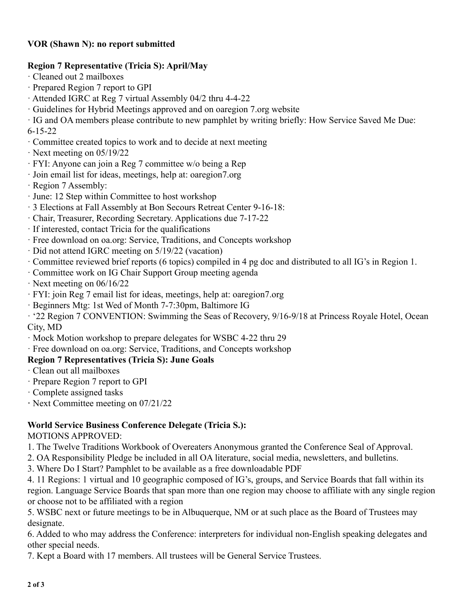### **VOR (Shawn N): no report submitted**

#### **Region 7 Representative (Tricia S): April/May**

- · Cleaned out 2 mailboxes
- · Prepared Region 7 report to GPI
- · Attended IGRC at Reg 7 virtual Assembly 04/2 thru 4-4-22
- · Guidelines for Hybrid Meetings approved and on oaregion 7.org website

· IG and OA members please contribute to new pamphlet by writing briefly: How Service Saved Me Due: 6-15-22

- · Committee created topics to work and to decide at next meeting
- · Next meeting on 05/19/22
- · FYI: Anyone can join a Reg 7 committee w/o being a Rep
- · Join email list for ideas, meetings, help at: oaregion7.org
- · Region 7 Assembly:
- · June: 12 Step within Committee to host workshop
- · 3 Elections at Fall Assembly at Bon Secours Retreat Center 9-16-18:
- · Chair, Treasurer, Recording Secretary. Applications due 7-17-22
- · If interested, contact Tricia for the qualifications
- · Free download on oa.org: Service, Traditions, and Concepts workshop
- · Did not attend IGRC meeting on 5/19/22 (vacation)
- · Committee reviewed brief reports (6 topics) compiled in 4 pg doc and distributed to all IG's in Region 1.
- · Committee work on IG Chair Support Group meeting agenda
- · Next meeting on 06/16/22
- · FYI: join Reg 7 email list for ideas, meetings, help at: oaregion7.org
- · Beginners Mtg: 1st Wed of Month 7-7:30pm, Baltimore IG

· '22 Region 7 CONVENTION: Swimming the Seas of Recovery, 9/16-9/18 at Princess Royale Hotel, Ocean City, MD

- · Mock Motion workshop to prepare delegates for WSBC 4-22 thru 29
- · Free download on oa.org: Service, Traditions, and Concepts workshop

### **Region 7 Representatives (Tricia S): June Goals**

- · Clean out all mailboxes
- · Prepare Region 7 report to GPI
- · Complete assigned tasks
- **·** Next Committee meeting on 07/21/22

#### **World Service Business Conference Delegate (Tricia S.):**

MOTIONS APPROVED:

- 1. The Twelve Traditions Workbook of Overeaters Anonymous granted the Conference Seal of Approval.
- 2. OA Responsibility Pledge be included in all OA literature, social media, newsletters, and bulletins.
- 3. Where Do I Start? Pamphlet to be available as a free downloadable PDF

4. 11 Regions: 1 virtual and 10 geographic composed of IG's, groups, and Service Boards that fall within its region. Language Service Boards that span more than one region may choose to affiliate with any single region or choose not to be affiliated with a region

5. WSBC next or future meetings to be in Albuquerque, NM or at such place as the Board of Trustees may designate.

6. Added to who may address the Conference: interpreters for individual non-English speaking delegates and other special needs.

7. Kept a Board with 17 members. All trustees will be General Service Trustees.